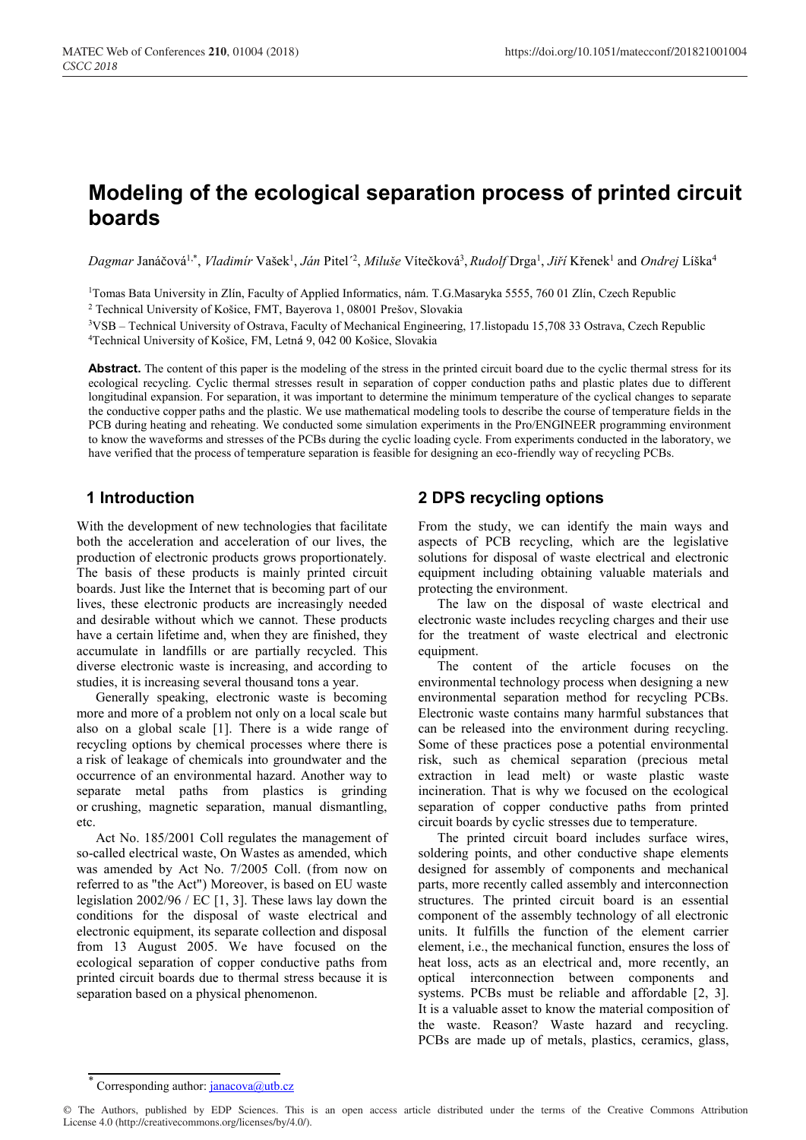# **Modeling of the ecological separation process of printed circuit boards**

*Dagmar* Janáčová1,\* , *Vladimír* Vašek1 , *Ján* Pitel´ 2 , *Miluše* Vítečková<sup>3</sup> , *Rudolf* Drga1 , *Jiří* Křenek1 and *Ondrej* Líška<sup>4</sup>

<sup>1</sup>Tomas Bata University in Zlín, Faculty of Applied Informatics, nám. T.G.Masaryka 5555, 760 01 Zlín, Czech Republic <sup>2</sup> Technical University of Košice, FMT, Bayerova 1, 08001 Prešov, Slovakia

3VSB – Technical University of Ostrava, Faculty of Mechanical Engineering, 17.listopadu 15,708 33 Ostrava, Czech Republic 4 Technical University of Košice, FM, Letná 9, 042 00 Košice, Slovakia

Abstract. The content of this paper is the modeling of the stress in the printed circuit board due to the cyclic thermal stress for its ecological recycling. Cyclic thermal stresses result in separation of copper conduction paths and plastic plates due to different longitudinal expansion. For separation, it was important to determine the minimum temperature of the cyclical changes to separate the conductive copper paths and the plastic. We use mathematical modeling tools to describe the course of temperature fields in the PCB during heating and reheating. We conducted some simulation experiments in the Pro/ENGINEER programming environment to know the waveforms and stresses of the PCBs during the cyclic loading cycle. From experiments conducted in the laboratory, we have verified that the process of temperature separation is feasible for designing an eco-friendly way of recycling PCBs.

# **1 Introduction**

With the development of new technologies that facilitate both the acceleration and acceleration of our lives, the production of electronic products grows proportionately. The basis of these products is mainly printed circuit boards. Just like the Internet that is becoming part of our lives, these electronic products are increasingly needed and desirable without which we cannot. These products have a certain lifetime and, when they are finished, they accumulate in landfills or are partially recycled. This diverse electronic waste is increasing, and according to studies, it is increasing several thousand tons a year.

Generally speaking, electronic waste is becoming more and more of a problem not only on a local scale but also on a global scale [1]. There is a wide range of recycling options by chemical processes where there is a risk of leakage of chemicals into groundwater and the occurrence of an environmental hazard. Another way to separate metal paths from plastics is grinding or crushing, magnetic separation, manual dismantling, etc.

Act No. 185/2001 Coll regulates the management of so-called electrical waste, On Wastes as amended, which was amended by Act No. 7/2005 Coll. (from now on referred to as "the Act") Moreover, is based on EU waste legislation 2002/96 / EC [1, 3]. These laws lay down the conditions for the disposal of waste electrical and electronic equipment, its separate collection and disposal from 13 August 2005. We have focused on the ecological separation of copper conductive paths from printed circuit boards due to thermal stress because it is separation based on a physical phenomenon.

# **2 DPS recycling options**

From the study, we can identify the main ways and aspects of PCB recycling, which are the legislative solutions for disposal of waste electrical and electronic equipment including obtaining valuable materials and protecting the environment.

The law on the disposal of waste electrical and electronic waste includes recycling charges and their use for the treatment of waste electrical and electronic equipment.

The content of the article focuses on the environmental technology process when designing a new environmental separation method for recycling PCBs. Electronic waste contains many harmful substances that can be released into the environment during recycling. Some of these practices pose a potential environmental risk, such as chemical separation (precious metal extraction in lead melt) or waste plastic waste incineration. That is why we focused on the ecological separation of copper conductive paths from printed circuit boards by cyclic stresses due to temperature.

The printed circuit board includes surface wires, soldering points, and other conductive shape elements designed for assembly of components and mechanical parts, more recently called assembly and interconnection structures. The printed circuit board is an essential component of the assembly technology of all electronic units. It fulfills the function of the element carrier element, i.e., the mechanical function, ensures the loss of heat loss, acts as an electrical and, more recently, an optical interconnection between components and systems. PCBs must be reliable and affordable [2, 3]. It is a valuable asset to know the material composition of the waste. Reason? Waste hazard and recycling. PCBs are made up of metals, plastics, ceramics, glass,

Corresponding author:  $\frac{\text{janacova}(a)$ utb.cz

<sup>©</sup> The Authors, published by EDP Sciences. This is an open access article distributed under the terms of the Creative Commons Attribution License 4.0 (http://creativecommons.org/licenses/by/4.0/).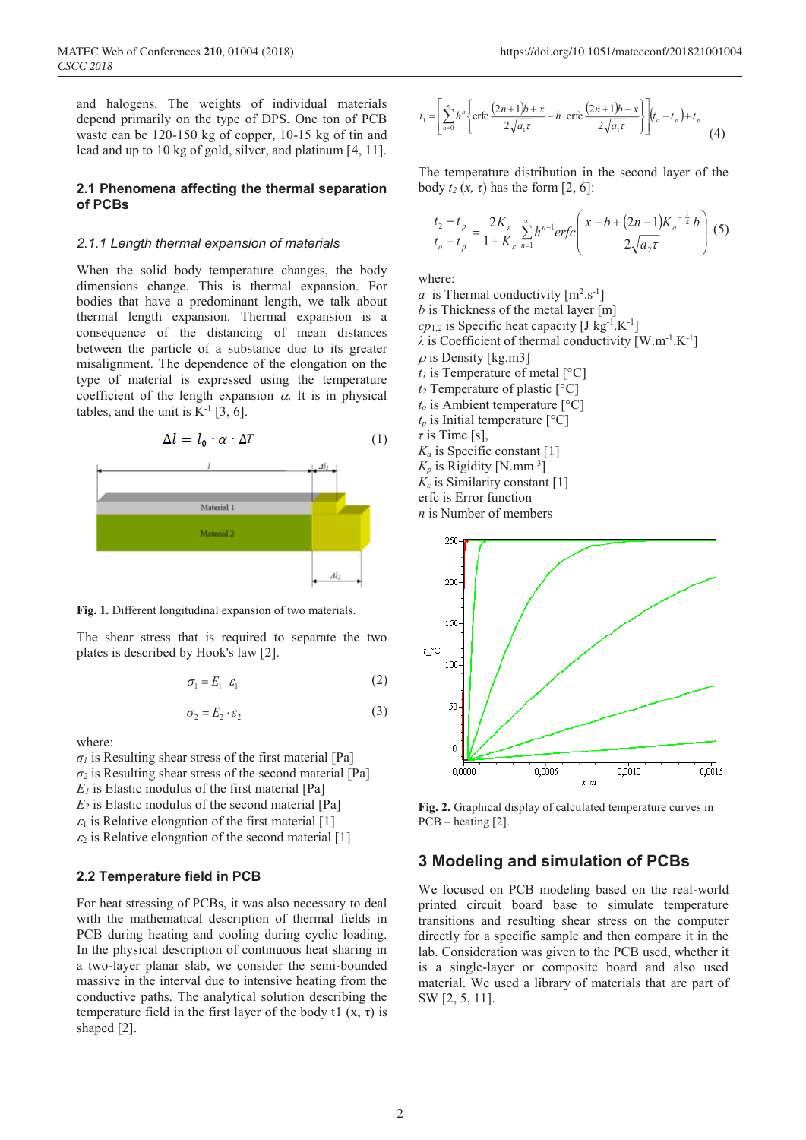and halogens. The weights of individual materials depend primarily on the type of DPS. One ton of PCB waste can be 120-150 kg of copper, 10-15 kg of tin and lead and up to 10 kg of gold, silver, and platinum [4, 11].

#### **2.1 Phenomena affecting the thermal separation of PCBs**

#### *2.1.1 Length thermal expansion of materials*

When the solid body temperature changes, the body dimensions change. This is thermal expansion. For bodies that have a predominant length, we talk about thermal length expansion. Thermal expansion is a consequence of the distancing of mean distances between the particle of a substance due to its greater misalignment. The dependence of the elongation on the type of material is expressed using the temperature coefficient of the length expansion  $\alpha$ . It is in physical tables, and the unit is  $K^{-1}$  [3, 6].





**Fig. 1.** Different longitudinal expansion of two materials.

The shear stress that is required to separate the two plates is described by Hook's law [2].

$$
\sigma_1 = E_1 \cdot \varepsilon_1 \tag{2}
$$

$$
\sigma_2 = E_2 \cdot \varepsilon_2 \tag{3}
$$

where:

 $\sigma_l$  is Resulting shear stress of the first material [Pa]  $\sigma_2$  is Resulting shear stress of the second material [Pa]  $E_I$  is Elastic modulus of the first material [Pa] *E2* is Elastic modulus of the second material [Pa]  $\varepsilon_1$  is Relative elongation of the first material [1]  $\varepsilon_2$  is Relative elongation of the second material [1]

#### **2.2 Temperature field in PCB**

For heat stressing of PCBs, it was also necessary to deal with the mathematical description of thermal fields in PCB during heating and cooling during cyclic loading. In the physical description of continuous heat sharing in a two-layer planar slab, we consider the semi-bounded massive in the interval due to intensive heating from the conductive paths. The analytical solution describing the temperature field in the first layer of the body t1  $(x, \tau)$  is shaped [2].

$$
t_1 = \left[ \sum_{n=0}^{\infty} h^n \left\{ \text{erfc}\left( \frac{(2n+1)b + x}{2\sqrt{a_1 \tau}} - h \cdot \text{erfc}\left( \frac{(2n+1)b - x}{2\sqrt{a_1 \tau}} \right) \right) \middle| (t_o - t_p) + t_p \right] \tag{4}
$$

The temperature distribution in the second layer of the body  $t_2$  ( $x$ ,  $\tau$ ) has the form [2, 6]:

$$
\frac{t_2 - t_p}{t_o - t_p} = \frac{2K_{\varepsilon}}{1 + K_{\varepsilon}} \sum_{n=1}^{\infty} h^{n-1} erfc\left(\frac{x - b + (2n - 1)K_a^{-\frac{1}{2}}b}{2\sqrt{a_2\tau}}\right)
$$
(5)

where:

*a* is Thermal conductivity  $[m^2.s^{-1}]$ *b* is Thickness of the metal layer [m]  $cp_{1,2}$  is Specific heat capacity [J kg<sup>-1</sup>.K<sup>-1</sup>]  $\lambda$  is Coefficient of thermal conductivity  $[W.m^{-1}.K^{-1}]$  $\rho$  is Density [kg.m3]  $t_1$  is Temperature of metal  $\lceil {^{\circ}C} \rceil$ *t2* Temperature of plastic [°C] *to* is Ambient temperature [°C]  $t_p$  is Initial temperature  $[°C]$ *τ* is Time [s],  $K_a$  is Specific constant [1]  $K_p$  is Rigidity [N.mm<sup>-3</sup>] *Kε* is Similarity constant [1] erfc is Error function *n* is Number of members



**Fig. 2.** Graphical display of calculated temperature curves in  $PCB - heating [2]$ .

### **3 Modeling and simulation of PCBs**

We focused on PCB modeling based on the real-world printed circuit board base to simulate temperature transitions and resulting shear stress on the computer directly for a specific sample and then compare it in the lab. Consideration was given to the PCB used, whether it is a single-layer or composite board and also used material. We used a library of materials that are part of SW [2, 5, 11].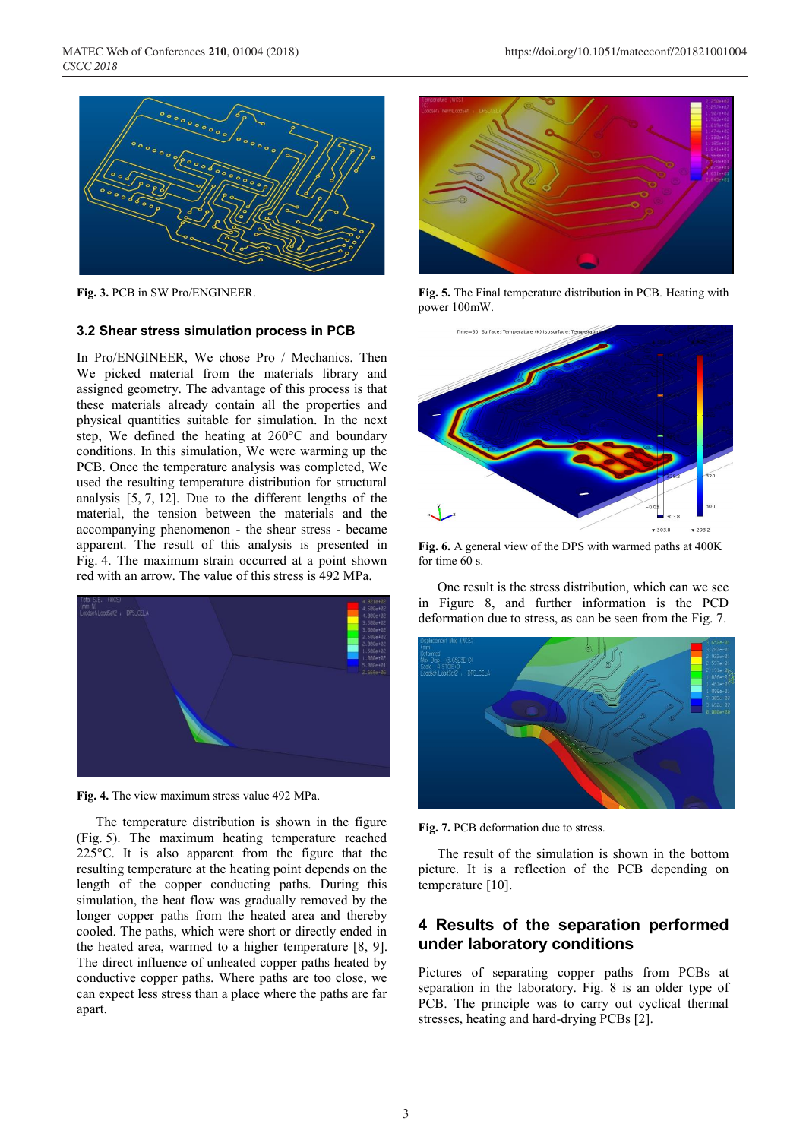

**Fig. 3.** PCB in SW Pro/ENGINEER.

#### **3.2 Shear stress simulation process in PCB**

In Pro/ENGINEER, We chose Pro / Mechanics. Then We picked material from the materials library and assigned geometry. The advantage of this process is that these materials already contain all the properties and physical quantities suitable for simulation. In the next step, We defined the heating at 260°C and boundary conditions. In this simulation, We were warming up the PCB. Once the temperature analysis was completed, We used the resulting temperature distribution for structural analysis [5, 7, 12]. Due to the different lengths of the material, the tension between the materials and the accompanying phenomenon - the shear stress - became apparent. The result of this analysis is presented in Fig. 4. The maximum strain occurred at a point shown red with an arrow. The value of this stress is 492 MPa.



**Fig. 4.** The view maximum stress value 492 MPa.

The temperature distribution is shown in the figure (Fig. 5). The maximum heating temperature reached 225°C. It is also apparent from the figure that the resulting temperature at the heating point depends on the length of the copper conducting paths. During this simulation, the heat flow was gradually removed by the longer copper paths from the heated area and thereby cooled. The paths, which were short or directly ended in the heated area, warmed to a higher temperature [8, 9]. The direct influence of unheated copper paths heated by conductive copper paths. Where paths are too close, we can expect less stress than a place where the paths are far apart.



**Fig. 5.** The Final temperature distribution in PCB. Heating with power 100mW.



**Fig. 6.** A general view of the DPS with warmed paths at 400K for time 60 s.

One result is the stress distribution, which can we see in Figure 8, and further information is the PCD deformation due to stress, as can be seen from the Fig. 7.



**Fig. 7.** PCB deformation due to stress.

The result of the simulation is shown in the bottom picture. It is a reflection of the PCB depending on temperature [10].

# **4 Results of the separation performed under laboratory conditions**

Pictures of separating copper paths from PCBs at separation in the laboratory. Fig. 8 is an older type of PCB. The principle was to carry out cyclical thermal stresses, heating and hard-drying PCBs [2].